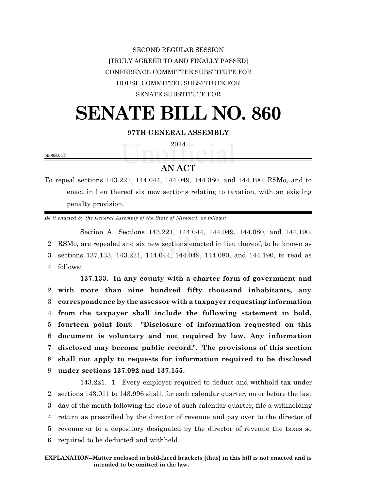SECOND REGULAR SESSION **[**TRULY AGREED TO AND FINALLY PASSED**]** CONFERENCE COMMITTEE SUBSTITUTE FOR HOUSE COMMITTEE SUBSTITUTE FOR SENATE SUBSTITUTE FOR

## **SENATE BILL NO. 860**

**97TH GENERAL ASSEMBLY**

2014

5906S.05T

## **AN ACT**

To repeal sections 143.221, 144.044, 144.049, 144.080, and 144.190, RSMo, and to enact in lieu thereof six new sections relating to taxation, with an existing penalty provision.

*Be it enacted by the General Assembly of the State of Missouri, as follows:*

Section A. Sections 143.221, 144.044, 144.049, 144.080, and 144.190, 2 RSMo, are repealed and six new sections enacted in lieu thereof, to be known as 3 sections 137.133, 143.221, 144.044, 144.049, 144.080, and 144.190, to read as 4 follows:

**137.133. In any county with a charter form of government and with more than nine hundred fifty thousand inhabitants, any correspondence by the assessor with a taxpayer requesting information from the taxpayer shall include the following statement in bold, fourteen point font: "Disclosure of information requested on this document is voluntary and not required by law. Any information disclosed may become public record.". The provisions of this section shall not apply to requests for information required to be disclosed under sections 137.092 and 137.155.**

143.221. 1. Every employer required to deduct and withhold tax under sections 143.011 to 143.996 shall, for each calendar quarter, on or before the last day of the month following the close of such calendar quarter, file a withholding return as prescribed by the director of revenue and pay over to the director of revenue or to a depository designated by the director of revenue the taxes so required to be deducted and withheld.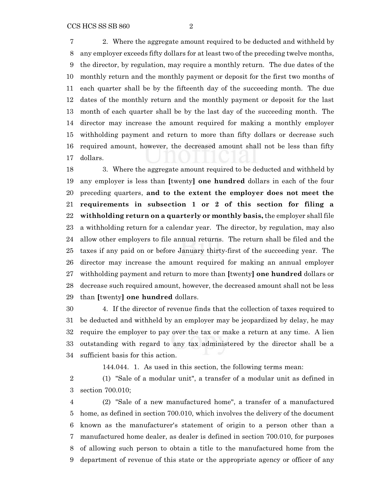2. Where the aggregate amount required to be deducted and withheld by any employer exceeds fifty dollars for at least two of the preceding twelve months, the director, by regulation, may require a monthly return. The due dates of the monthly return and the monthly payment or deposit for the first two months of each quarter shall be by the fifteenth day of the succeeding month. The due dates of the monthly return and the monthly payment or deposit for the last month of each quarter shall be by the last day of the succeeding month. The director may increase the amount required for making a monthly employer withholding payment and return to more than fifty dollars or decrease such required amount, however, the decreased amount shall not be less than fifty dollars.

 3. Where the aggregate amount required to be deducted and withheld by any employer is less than **[**twenty**] one hundred** dollars in each of the four preceding quarters, **and to the extent the employer does not meet the requirements in subsection 1 or 2 of this section for filing a withholding return on a quarterly or monthly basis,** the employer shall file a withholding return for a calendar year. The director, by regulation, may also allow other employers to file annual returns. The return shall be filed and the taxes if any paid on or before January thirty-first of the succeeding year. The director may increase the amount required for making an annual employer withholding payment and return to more than **[**twenty**] one hundred** dollars or decrease such required amount, however, the decreased amount shall not be less than **[**twenty**] one hundred** dollars.

 4. If the director of revenue finds that the collection of taxes required to be deducted and withheld by an employer may be jeopardized by delay, he may require the employer to pay over the tax or make a return at any time. A lien outstanding with regard to any tax administered by the director shall be a sufficient basis for this action.

144.044. 1. As used in this section, the following terms mean:

 (1) "Sale of a modular unit", a transfer of a modular unit as defined in section 700.010;

 (2) "Sale of a new manufactured home", a transfer of a manufactured home, as defined in section 700.010, which involves the delivery of the document known as the manufacturer's statement of origin to a person other than a manufactured home dealer, as dealer is defined in section 700.010, for purposes of allowing such person to obtain a title to the manufactured home from the department of revenue of this state or the appropriate agency or officer of any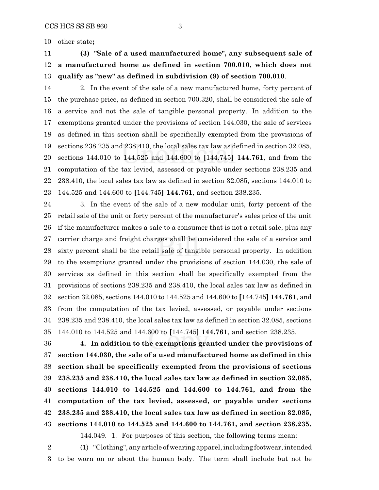other state**;**

 **(3) "Sale of a used manufactured home", any subsequent sale of a manufactured home as defined in section 700.010, which does not qualify as "new" as defined in subdivision (9) of section 700.010**.

14 2. In the event of the sale of a new manufactured home, forty percent of the purchase price, as defined in section 700.320, shall be considered the sale of a service and not the sale of tangible personal property. In addition to the exemptions granted under the provisions of section 144.030, the sale of services as defined in this section shall be specifically exempted from the provisions of sections 238.235 and 238.410, the local sales tax law as defined in section 32.085, sections 144.010 to 144.525 and 144.600 to **[**144.745**] 144.761**, and from the computation of the tax levied, assessed or payable under sections 238.235 and 238.410, the local sales tax law as defined in section 32.085, sections 144.010 to 144.525 and 144.600 to **[**144.745**] 144.761**, and section 238.235.

 3. In the event of the sale of a new modular unit, forty percent of the retail sale of the unit or forty percent of the manufacturer's sales price of the unit if the manufacturer makes a sale to a consumer that is not a retail sale, plus any carrier charge and freight charges shall be considered the sale of a service and sixty percent shall be the retail sale of tangible personal property. In addition to the exemptions granted under the provisions of section 144.030, the sale of services as defined in this section shall be specifically exempted from the provisions of sections 238.235 and 238.410, the local sales tax law as defined in section 32.085, sections 144.010 to 144.525 and 144.600 to **[**144.745**] 144.761**, and from the computation of the tax levied, assessed, or payable under sections 238.235 and 238.410, the local sales tax law as defined in section 32.085, sections 144.010 to 144.525 and 144.600 to **[**144.745**] 144.761**, and section 238.235.

 **4. In addition to the exemptions granted under the provisions of section 144.030, the sale of a used manufactured home as defined in this section shall be specifically exempted from the provisions of sections 238.235 and 238.410, the local sales tax law as defined in section 32.085, sections 144.010 to 144.525 and 144.600 to 144.761, and from the computation of the tax levied, assessed, or payable under sections 238.235 and 238.410, the local sales tax law as defined in section 32.085, sections 144.010 to 144.525 and 144.600 to 144.761, and section 238.235.**

144.049. 1. For purposes of this section, the following terms mean:

 (1) "Clothing", any article of wearing apparel, including footwear, intended to be worn on or about the human body. The term shall include but not be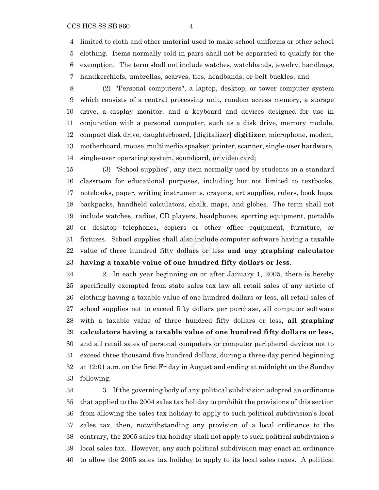limited to cloth and other material used to make school uniforms or other school clothing. Items normally sold in pairs shall not be separated to qualify for the

- exemption. The term shall not include watches, watchbands, jewelry, handbags,
- handkerchiefs, umbrellas, scarves, ties, headbands, or belt buckles; and
- (2) "Personal computers", a laptop, desktop, or tower computer system which consists of a central processing unit, random access memory, a storage drive, a display monitor, and a keyboard and devices designed for use in conjunction with a personal computer, such as a disk drive, memory module, compact disk drive, daughterboard, **[**digitalizer**] digitizer**, microphone, modem, motherboard, mouse, multimedia speaker, printer, scanner, single-user hardware, single-user operating system, soundcard, or video card;

 (3) "School supplies", any item normally used by students in a standard classroom for educational purposes, including but not limited to textbooks, notebooks, paper, writing instruments, crayons, art supplies, rulers, book bags, backpacks, handheld calculators, chalk, maps, and globes. The term shall not include watches, radios, CD players, headphones, sporting equipment, portable or desktop telephones, copiers or other office equipment, furniture, or fixtures. School supplies shall also include computer software having a taxable value of three hundred fifty dollars or less **and any graphing calculator having a taxable value of one hundred fifty dollars or less**.

 2. In each year beginning on or after January 1, 2005, there is hereby specifically exempted from state sales tax law all retail sales of any article of clothing having a taxable value of one hundred dollars or less, all retail sales of school supplies not to exceed fifty dollars per purchase, all computer software with a taxable value of three hundred fifty dollars or less, **all graphing calculators having a taxable value of one hundred fifty dollars or less,** and all retail sales of personal computers or computer peripheral devices not to exceed three thousand five hundred dollars, during a three-day period beginning at 12:01 a.m. on the first Friday in August and ending at midnight on the Sunday following.

 3. If the governing body of any political subdivision adopted an ordinance that applied to the 2004 sales tax holiday to prohibit the provisions of this section from allowing the sales tax holiday to apply to such political subdivision's local sales tax, then, notwithstanding any provision of a local ordinance to the contrary, the 2005 sales tax holiday shall not apply to such political subdivision's local sales tax. However, any such political subdivision may enact an ordinance to allow the 2005 sales tax holiday to apply to its local sales taxes. A political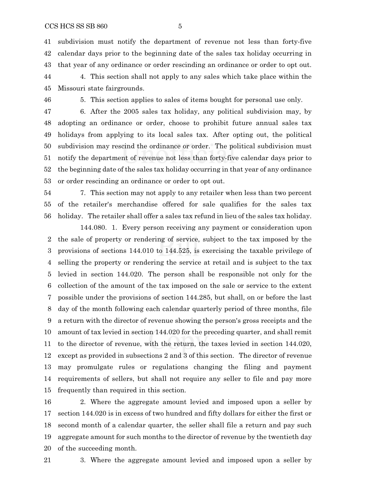subdivision must notify the department of revenue not less than forty-five calendar days prior to the beginning date of the sales tax holiday occurring in that year of any ordinance or order rescinding an ordinance or order to opt out. 4. This section shall not apply to any sales which take place within the

Missouri state fairgrounds.

5. This section applies to sales of items bought for personal use only.

 6. After the 2005 sales tax holiday, any political subdivision may, by adopting an ordinance or order, choose to prohibit future annual sales tax holidays from applying to its local sales tax. After opting out, the political subdivision may rescind the ordinance or order. The political subdivision must notify the department of revenue not less than forty-five calendar days prior to the beginning date of the sales tax holiday occurring in that year of any ordinance or order rescinding an ordinance or order to opt out.

 7. This section may not apply to any retailer when less than two percent of the retailer's merchandise offered for sale qualifies for the sales tax holiday. The retailer shall offer a sales tax refund in lieu of the sales tax holiday.

144.080. 1. Every person receiving any payment or consideration upon the sale of property or rendering of service, subject to the tax imposed by the provisions of sections 144.010 to 144.525, is exercising the taxable privilege of selling the property or rendering the service at retail and is subject to the tax levied in section 144.020. The person shall be responsible not only for the collection of the amount of the tax imposed on the sale or service to the extent possible under the provisions of section 144.285, but shall, on or before the last day of the month following each calendar quarterly period of three months, file a return with the director of revenue showing the person's gross receipts and the amount of tax levied in section 144.020 for the preceding quarter, and shall remit to the director of revenue, with the return, the taxes levied in section 144.020, except as provided in subsections 2 and 3 of this section. The director of revenue may promulgate rules or regulations changing the filing and payment requirements of sellers, but shall not require any seller to file and pay more frequently than required in this section.

 2. Where the aggregate amount levied and imposed upon a seller by section 144.020 is in excess of two hundred and fifty dollars for either the first or second month of a calendar quarter, the seller shall file a return and pay such aggregate amount for such months to the director of revenue by the twentieth day of the succeeding month.

3. Where the aggregate amount levied and imposed upon a seller by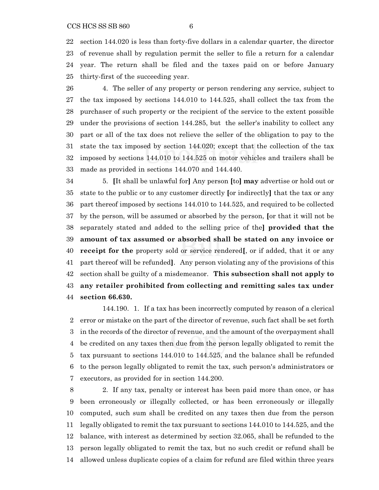section 144.020 is less than forty-five dollars in a calendar quarter, the director of revenue shall by regulation permit the seller to file a return for a calendar year. The return shall be filed and the taxes paid on or before January thirty-first of the succeeding year.

 4. The seller of any property or person rendering any service, subject to the tax imposed by sections 144.010 to 144.525, shall collect the tax from the purchaser of such property or the recipient of the service to the extent possible under the provisions of section 144.285, but the seller's inability to collect any part or all of the tax does not relieve the seller of the obligation to pay to the state the tax imposed by section 144.020; except that the collection of the tax imposed by sections 144.010 to 144.525 on motor vehicles and trailers shall be made as provided in sections 144.070 and 144.440.

 5. **[**It shall be unlawful for**]** Any person **[**to**] may** advertise or hold out or state to the public or to any customer directly **[**or indirectly**]** that the tax or any part thereof imposed by sections 144.010 to 144.525, and required to be collected by the person, will be assumed or absorbed by the person, **[**or that it will not be separately stated and added to the selling price of the**] provided that the amount of tax assumed or absorbed shall be stated on any invoice or receipt for the** property sold or service rendered**[**, or if added, that it or any part thereof will be refunded**]**. Any person violating any of the provisions of this section shall be guilty of a misdemeanor. **This subsection shall not apply to any retailer prohibited from collecting and remitting sales tax under section 66.630.**

144.190. 1. If a tax has been incorrectly computed by reason of a clerical error or mistake on the part of the director of revenue, such fact shall be set forth in the records of the director of revenue, and the amount of the overpayment shall be credited on any taxes then due from the person legally obligated to remit the tax pursuant to sections 144.010 to 144.525, and the balance shall be refunded to the person legally obligated to remit the tax, such person's administrators or executors, as provided for in section 144.200.

 2. If any tax, penalty or interest has been paid more than once, or has been erroneously or illegally collected, or has been erroneously or illegally computed, such sum shall be credited on any taxes then due from the person legally obligated to remit the tax pursuant to sections 144.010 to 144.525, and the balance, with interest as determined by section 32.065, shall be refunded to the person legally obligated to remit the tax, but no such credit or refund shall be allowed unless duplicate copies of a claim for refund are filed within three years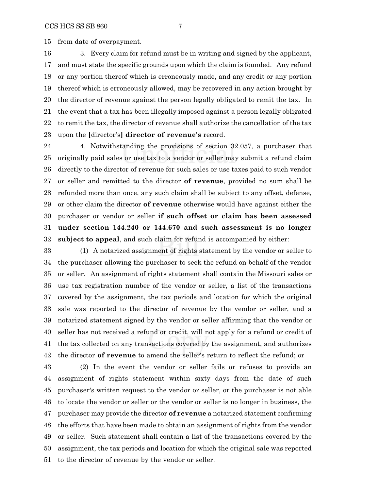from date of overpayment.

 3. Every claim for refund must be in writing and signed by the applicant, and must state the specific grounds upon which the claim is founded. Any refund or any portion thereof which is erroneously made, and any credit or any portion thereof which is erroneously allowed, may be recovered in any action brought by the director of revenue against the person legally obligated to remit the tax. In the event that a tax has been illegally imposed against a person legally obligated to remit the tax, the director of revenue shall authorize the cancellation of the tax upon the **[**director's**] director of revenue's** record.

 4. Notwithstanding the provisions of section 32.057, a purchaser that originally paid sales or use tax to a vendor or seller may submit a refund claim directly to the director of revenue for such sales or use taxes paid to such vendor or seller and remitted to the director **of revenue**, provided no sum shall be refunded more than once, any such claim shall be subject to any offset, defense, or other claim the director **of revenue** otherwise would have against either the purchaser or vendor or seller **if such offset or claim has been assessed under section 144.240 or 144.670 and such assessment is no longer subject to appeal**, and such claim for refund is accompanied by either:

 (1) A notarized assignment of rights statement by the vendor or seller to the purchaser allowing the purchaser to seek the refund on behalf of the vendor or seller. An assignment of rights statement shall contain the Missouri sales or use tax registration number of the vendor or seller, a list of the transactions covered by the assignment, the tax periods and location for which the original sale was reported to the director of revenue by the vendor or seller, and a notarized statement signed by the vendor or seller affirming that the vendor or seller has not received a refund or credit, will not apply for a refund or credit of the tax collected on any transactions covered by the assignment, and authorizes the director **of revenue** to amend the seller's return to reflect the refund; or

 (2) In the event the vendor or seller fails or refuses to provide an assignment of rights statement within sixty days from the date of such purchaser's written request to the vendor or seller, or the purchaser is not able to locate the vendor or seller or the vendor or seller is no longer in business, the purchaser may provide the director **of revenue** a notarized statement confirming the efforts that have been made to obtain an assignment of rights from the vendor or seller. Such statement shall contain a list of the transactions covered by the assignment, the tax periods and location for which the original sale was reported to the director of revenue by the vendor or seller.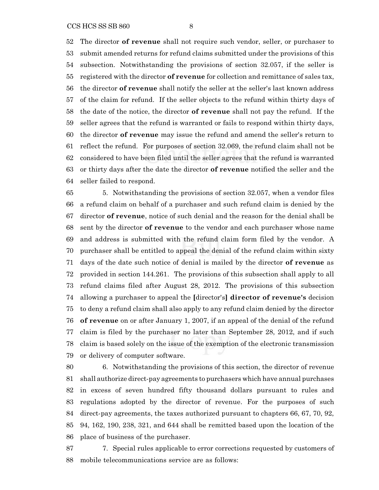The director **of revenue** shall not require such vendor, seller, or purchaser to submit amended returns for refund claims submitted under the provisions of this subsection. Notwithstanding the provisions of section 32.057, if the seller is registered with the director **of revenue** for collection and remittance of sales tax, the director **of revenue** shall notify the seller at the seller's last known address of the claim for refund. If the seller objects to the refund within thirty days of the date of the notice, the director **of revenue** shall not pay the refund. If the seller agrees that the refund is warranted or fails to respond within thirty days, the director **of revenue** may issue the refund and amend the seller's return to reflect the refund. For purposes of section 32.069, the refund claim shall not be considered to have been filed until the seller agrees that the refund is warranted or thirty days after the date the director **of revenue** notified the seller and the seller failed to respond.

 5. Notwithstanding the provisions of section 32.057, when a vendor files a refund claim on behalf of a purchaser and such refund claim is denied by the director **of revenue**, notice of such denial and the reason for the denial shall be sent by the director **of revenue** to the vendor and each purchaser whose name and address is submitted with the refund claim form filed by the vendor. A purchaser shall be entitled to appeal the denial of the refund claim within sixty days of the date such notice of denial is mailed by the director **of revenue** as provided in section 144.261. The provisions of this subsection shall apply to all refund claims filed after August 28, 2012. The provisions of this subsection allowing a purchaser to appeal the **[**director's**] director of revenue's** decision to deny a refund claim shall also apply to any refund claim denied by the director **of revenue** on or after January 1, 2007, if an appeal of the denial of the refund claim is filed by the purchaser no later than September 28, 2012, and if such claim is based solely on the issue of the exemption of the electronic transmission or delivery of computer software.

 6. Notwithstanding the provisions of this section, the director of revenue shall authorize direct-pay agreements to purchasers which have annual purchases in excess of seven hundred fifty thousand dollars pursuant to rules and regulations adopted by the director of revenue. For the purposes of such direct-pay agreements, the taxes authorized pursuant to chapters 66, 67, 70, 92, 94, 162, 190, 238, 321, and 644 shall be remitted based upon the location of the place of business of the purchaser.

 7. Special rules applicable to error corrections requested by customers of mobile telecommunications service are as follows: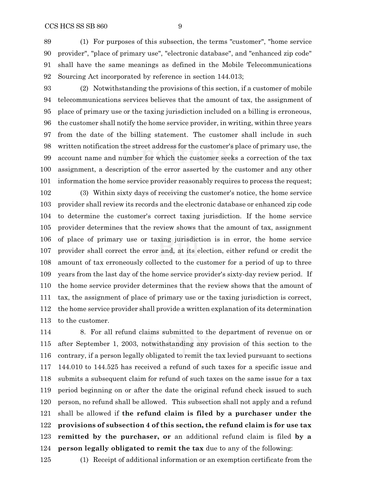(1) For purposes of this subsection, the terms "customer", "home service provider", "place of primary use", "electronic database", and "enhanced zip code" shall have the same meanings as defined in the Mobile Telecommunications Sourcing Act incorporated by reference in section 144.013;

 (2) Notwithstanding the provisions of this section, if a customer of mobile telecommunications services believes that the amount of tax, the assignment of place of primary use or the taxing jurisdiction included on a billing is erroneous, the customer shall notify the home service provider, in writing, within three years from the date of the billing statement. The customer shall include in such written notification the street address for the customer's place of primary use, the account name and number for which the customer seeks a correction of the tax assignment, a description of the error asserted by the customer and any other information the home service provider reasonably requires to process the request;

 (3) Within sixty days of receiving the customer's notice, the home service provider shall review its records and the electronic database or enhanced zip code to determine the customer's correct taxing jurisdiction. If the home service provider determines that the review shows that the amount of tax, assignment of place of primary use or taxing jurisdiction is in error, the home service provider shall correct the error and, at its election, either refund or credit the amount of tax erroneously collected to the customer for a period of up to three years from the last day of the home service provider's sixty-day review period. If the home service provider determines that the review shows that the amount of tax, the assignment of place of primary use or the taxing jurisdiction is correct, the home service provider shall provide a written explanation of its determination to the customer.

 8. For all refund claims submitted to the department of revenue on or after September 1, 2003, notwithstanding any provision of this section to the contrary, if a person legally obligated to remit the tax levied pursuant to sections 144.010 to 144.525 has received a refund of such taxes for a specific issue and submits a subsequent claim for refund of such taxes on the same issue for a tax period beginning on or after the date the original refund check issued to such person, no refund shall be allowed. This subsection shall not apply and a refund shall be allowed if **the refund claim is filed by a purchaser under the provisions of subsection 4 of this section, the refund claim is for use tax remitted by the purchaser, or** an additional refund claim is filed **by a person legally obligated to remit the tax** due to any of the following:

(1) Receipt of additional information or an exemption certificate from the